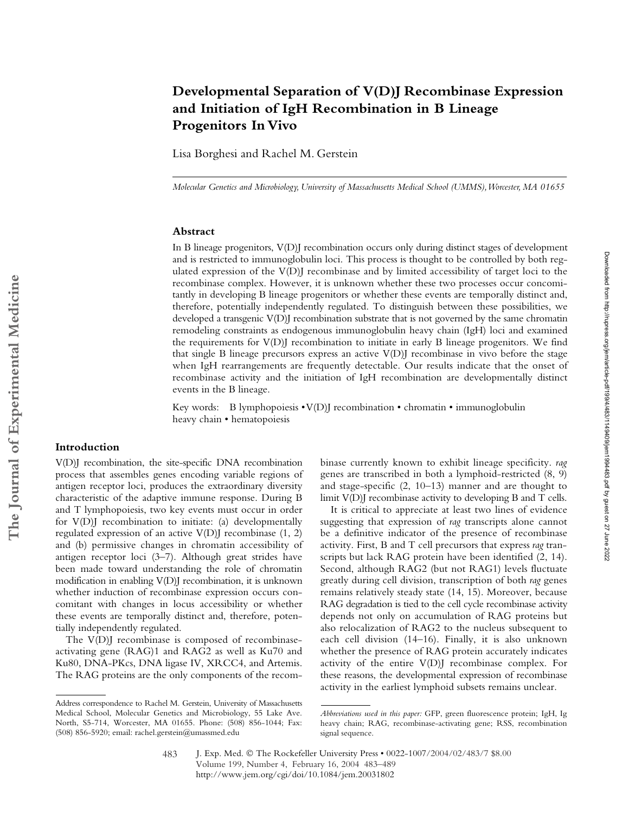Lisa Borghesi and Rachel M. Gerstein

*Molecular Genetics and Microbiology, University of Massachusetts Medical School (UMMS), Worcester, MA 01655*

## **Abstract**

In B lineage progenitors, V(D)J recombination occurs only during distinct stages of development and is restricted to immunoglobulin loci. This process is thought to be controlled by both regulated expression of the  $V(D)$  recombinase and by limited accessibility of target loci to the recombinase complex. However, it is unknown whether these two processes occur concomitantly in developing B lineage progenitors or whether these events are temporally distinct and, therefore, potentially independently regulated. To distinguish between these possibilities, we developed a transgenic V(D)J recombination substrate that is not governed by the same chromatin remodeling constraints as endogenous immunoglobulin heavy chain (IgH) loci and examined the requirements for V(D)J recombination to initiate in early B lineage progenitors. We find that single B lineage precursors express an active V(D)J recombinase in vivo before the stage when IgH rearrangements are frequently detectable. Our results indicate that the onset of recombinase activity and the initiation of IgH recombination are developmentally distinct events in the B lineage.

Key words: B lymphopoiesis • V(D)J recombination • chromatin • immunoglobulin heavy chain • hematopoiesis

# **Introduction**

V(D)J recombination, the site-specific DNA recombination process that assembles genes encoding variable regions of antigen receptor loci, produces the extraordinary diversity characteristic of the adaptive immune response. During B and T lymphopoiesis, two key events must occur in order for V(D)J recombination to initiate: (a) developmentally regulated expression of an active  $V(D)$  recombinase  $(1, 2)$ and (b) permissive changes in chromatin accessibility of antigen receptor loci (3–7). Although great strides have been made toward understanding the role of chromatin modification in enabling V(D)J recombination, it is unknown whether induction of recombinase expression occurs concomitant with changes in locus accessibility or whether these events are temporally distinct and, therefore, potentially independently regulated.

The V(D)I recombinase is composed of recombinaseactivating gene (RAG)1 and RAG2 as well as Ku70 and Ku80, DNA-PKcs, DNA ligase IV, XRCC4, and Artemis. The RAG proteins are the only components of the recombinase currently known to exhibit lineage specificity. *rag* genes are transcribed in both a lymphoid-restricted (8, 9) and stage-specific (2, 10–13) manner and are thought to limit V(D)I recombinase activity to developing B and T cells.

It is critical to appreciate at least two lines of evidence suggesting that expression of *rag* transcripts alone cannot be a definitive indicator of the presence of recombinase activity. First, B and T cell precursors that express *rag* transcripts but lack RAG protein have been identified (2, 14). Second, although RAG2 (but not RAG1) levels fluctuate greatly during cell division, transcription of both *rag* genes remains relatively steady state (14, 15). Moreover, because RAG degradation is tied to the cell cycle recombinase activity depends not only on accumulation of RAG proteins but also relocalization of RAG2 to the nucleus subsequent to each cell division (14–16). Finally, it is also unknown whether the presence of RAG protein accurately indicates activity of the entire V(D)J recombinase complex. For these reasons, the developmental expression of recombinase activity in the earliest lymphoid subsets remains unclear.

Address correspondence to Rachel M. Gerstein, University of Massachusetts Medical School, Molecular Genetics and Microbiology, 55 Lake Ave. North, S5-714, Worcester, MA 01655. Phone: (508) 856-1044; Fax: (508) 856-5920; email: rachel.gerstein@umassmed.edu

*Abbreviations used in this paper:* GFP, green fluorescence protein; IgH, Ig heavy chain; RAG, recombinase-activating gene; RSS, recombination signal sequence.

J. Exp. Med. © The Rockefeller University Press • 0022-1007/2004/02/483/7 \$8.00 Volume 199, Number 4, February 16, 2004 483–489 http://www.jem.org/cgi/doi/10.1084/jem.20031802 483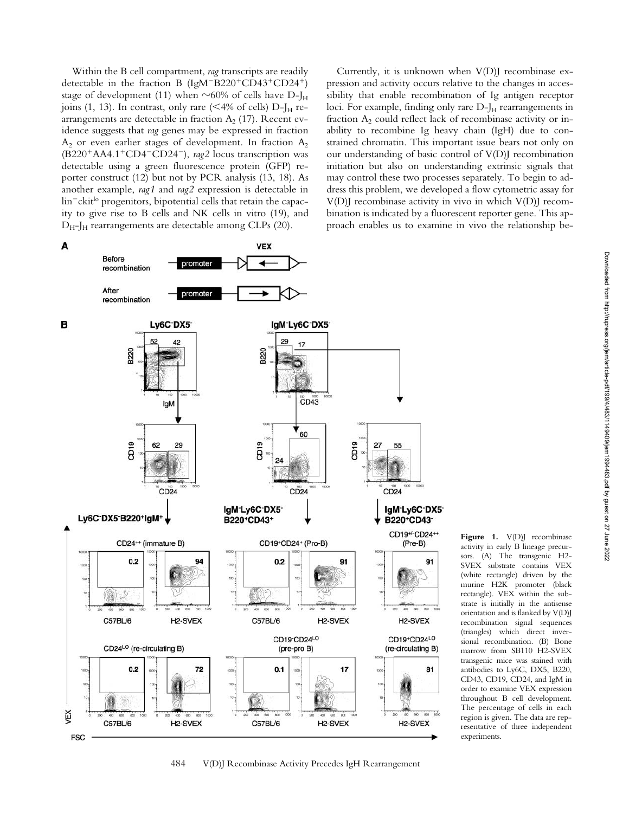Within the B cell compartment, *rag* transcripts are readily detectable in the fraction B (IgM<sup>-B220+</sup>CD43+CD24+) stage of development (11) when  $\sim$ 60% of cells have D-J<sub>H</sub> joins (1, 13). In contrast, only rare (<4% of cells)  $D-J<sub>H</sub>$  rearrangements are detectable in fraction  $A_2$  (17). Recent evidence suggests that *rag* genes may be expressed in fraction  $A_2$  or even earlier stages of development. In fraction  $A_2$ (B220<sup>+</sup>AA4.1<sup>+</sup>CD4<sup>-</sup>CD24<sup>-</sup>), *rag2* locus transcription was detectable using a green fluorescence protein (GFP) reporter construct (12) but not by PCR analysis (13, 18). As another example, *rag1* and *rag2* expression is detectable in lin<sup>-</sup>ckit<sup>lo</sup> progenitors, bipotential cells that retain the capacity to give rise to B cells and NK cells in vitro (19), and  $D_{H}$ -J<sub>H</sub> rearrangements are detectable among CLPs (20).

Currently, it is unknown when  $V(D)$  recombinase expression and activity occurs relative to the changes in accessibility that enable recombination of Ig antigen receptor loci. For example, finding only rare D-J<sub>H</sub> rearrangements in fraction  $A_2$  could reflect lack of recombinase activity or inability to recombine Ig heavy chain (IgH) due to constrained chromatin. This important issue bears not only on our understanding of basic control of V(D)J recombination initiation but also on understanding extrinsic signals that may control these two processes separately. To begin to address this problem, we developed a flow cytometric assay for V(D)J recombinase activity in vivo in which V(D)J recombination is indicated by a fluorescent reporter gene. This approach enables us to examine in vivo the relationship be-



Figure 1. V(D)J recombinase activity in early B lineage precursors. (A) The transgenic H2- SVEX substrate contains VEX (white rectangle) driven by the murine H2K promoter (black rectangle). VEX within the substrate is initially in the antisense orientation and is flanked by V(D)J recombination signal sequences (triangles) which direct inversional recombination. (B) Bone marrow from SB110 H2-SVEX transgenic mice was stained with antibodies to Ly6C, DX5, B220, CD43, CD19, CD24, and IgM in order to examine VEX expression throughout B cell development. The percentage of cells in each region is given. The data are representative of three independent experiments.

484 V(D)J Recombinase Activity Precedes IgH Rearrangement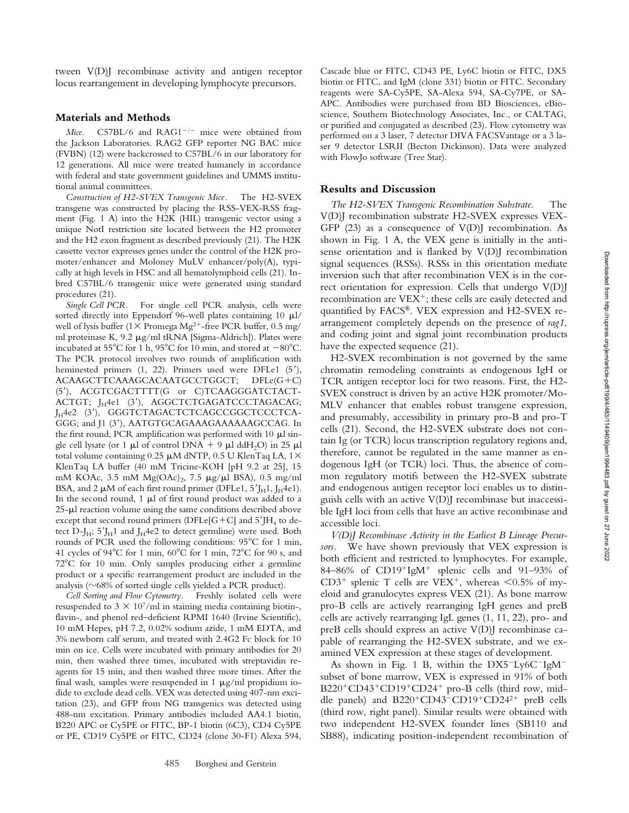tween V(D)J recombinase activity and antigen receptor locus rearrangement in developing lymphocyte precursors.

#### **Materials and Methods**

Mice. C57BL/6 and RAG1<sup>-/-</sup> mice were obtained from the Jackson Laboratories. RAG2 GFP reporter NG BAC mice (FVBN) (12) were backcrossed to C57BL/6 in our laboratory for 12 generations. All mice were treated humanely in accordance with federal and state government guidelines and UMMS institutional animal committees.

*Construction of H2-SVEX Transgenic Mice.* The H2-SVEX transgene was constructed by placing the RSS-VEX-RSS fragment (Fig. 1 A) into the H2K (HIL) transgenic vector using a unique NotI restriction site located between the H2 promoter and the H2 exon fragment as described previously (21). The H2K cassette vector expresses genes under the control of the H2K promoter/enhancer and Moloney MuLV enhancer/poly(A), typically at high levels in HSC and all hematolymphoid cells (21). Inbred C57BL/6 transgenic mice were generated using standard procedures (21).

*Single Cell PCR.* For single cell PCR analysis, cells were sorted directly into Eppendorf 96-well plates containing 10  $\mu$ l/ well of lysis buffer (1 $\times$  Promega Mg<sup>2+</sup>-free PCR buffer, 0.5 mg/ ml proteinase K, 9.2  $\mu$ g/ml tRNA [Sigma-Aldrich]). Plates were incubated at 55°C for 1 h, 95°C for 10 min, and stored at  $-80^{\circ}$ C. The PCR protocol involves two rounds of amplification with heminested primers (1, 22). Primers used were DFLe1 (5'), ACAAGCTTCAAAGCACAATGCCTGGCT; DFLe(G+C) (5), ACGTCGACTTTT(G or C)TCAAGGGATCTACT-ACTGT; J<sub>H</sub>4e1 (3'), AGGCTCTGAGATCCCTAGACAG; J<sub>H</sub>4e2 (3'), GGGTCTAGACTCTCAGCCGGCTCCCTCA-GGG; and J1 (3'), AATGTGCAGAAAGAAAAAAGCCAG. In the first round, PCR amplification was performed with 10  $\mu$ l single cell lysate (or 1  $\mu$ l of control DNA + 9  $\mu$ l ddH<sub>2</sub>O) in 25  $\mu$ l total volume containing 0.25  $\upmu\text{M}$  dNTP, 0.5 U KlenTaq LA, 1 $\times$ KlenTaq LA buffer (40 mM Tricine-KOH [pH 9.2 at 25], 15 mM KOAc, 3.5 mM Mg(OAc)<sub>2</sub>, 7.5 µg/µl BSA), 0.5 mg/ml BSA, and 2  $\mu$ M of each first round primer (DFLe1, 5'J<sub>H</sub>1, J<sub>H</sub>4e1). In the second round,  $1 \mu l$  of first round product was added to a  $25-\mu l$  reaction volume using the same conditions described above except that second round primers (DFLe[G+C] and  $5'$ JH<sub>4</sub> to detect D-J<sub>H</sub>;  $5'$ J<sub>H</sub>1 and J<sub>H</sub>4e2 to detect germline) were used. Both rounds of PCR used the following conditions: 95°C for 1 min, 41 cycles of 94 $^{\circ}$ C for 1 min, 60 $^{\circ}$ C for 1 min, 72 $^{\circ}$ C for 90 s, and 72°C for 10 min. Only samples producing either a germline product or a specific rearrangement product are included in the analysis ( $\sim$ 68% of sorted single cells yielded a PCR product).

*Cell Sorting and Flow Cytometry.* Freshly isolated cells were resuspended to  $3 \times 10^7$ /ml in staining media containing biotin-, flavin-, and phenol red-deficient RPMI 1640 (Irvine Scientific), 10 mM Hepes, pH 7.2, 0.02% sodium azide, 1 mM EDTA, and 3% newborn calf serum, and treated with 2.4G2 Fc block for 10 min on ice. Cells were incubated with primary antibodies for 20 min, then washed three times, incubated with streptavidin reagents for 15 min, and then washed three more times. After the final wash, samples were resuspended in 1  $\mu$ g/ml propidium iodide to exclude dead cells. VEX was detected using 407-nm excitation (23), and GFP from NG transgenics was detected using 488-nm excitation. Primary antibodies included AA4.1 biotin, B220 APC or Cy5PE or FITC, BP-1 biotin (6C3), CD4 Cy5PE or PE, CD19 Cy5PE or FITC, CD24 (clone 30-F1) Alexa 594,

Cascade blue or FITC, CD43 PE, Ly6C biotin or FITC, DX5 biotin or FITC, and IgM (clone 331) biotin or FITC. Secondary reagents were SA-Cy5PE, SA-Alexa 594, SA-Cy7PE, or SA-APC. Antibodies were purchased from BD Biosciences, eBioscience, Southern Biotechnology Associates, Inc., or CALTAG, or purified and conjugated as described (23). Flow cytometry was performed on a 3 laser, 7 detector DIVA FACSVantage or a 3 laser 9 detector LSRII (Becton Dickinson). Data were analyzed with FlowJo software (Tree Star).

#### **Results and Discussion**

*The H2-SVEX Transgenic Recombination Substrate.* The V(D)J recombination substrate H2-SVEX expresses VEX-GFP  $(23)$  as a consequence of  $V(D)$  recombination. As shown in Fig. 1 A, the VEX gene is initially in the antisense orientation and is flanked by V(D)J recombination signal sequences (RSSs). RSSs in this orientation mediate inversion such that after recombination VEX is in the correct orientation for expression. Cells that undergo V(D)J recombination are VEX<sup>+</sup>; these cells are easily detected and quantified by FACS®. VEX expression and H2-SVEX rearrangement completely depends on the presence of *rag1*, and coding joint and signal joint recombination products have the expected sequence (21).

H2-SVEX recombination is not governed by the same chromatin remodeling constraints as endogenous IgH or TCR antigen receptor loci for two reasons. First, the H2- SVEX construct is driven by an active H2K promoter/Mo-MLV enhancer that enables robust transgene expression, and presumably, accessibility in primary pro-B and pro-T cells (21). Second, the H2-SVEX substrate does not contain Ig (or TCR) locus transcription regulatory regions and, therefore, cannot be regulated in the same manner as endogenous IgH (or TCR) loci. Thus, the absence of common regulatory motifs between the H2-SVEX substrate and endogenous antigen receptor loci enables us to distinguish cells with an active V(D)J recombinase but inaccessible IgH loci from cells that have an active recombinase and accessible loci.

*V(D)J Recombinase Activity in the Earliest B Lineage Precursors.* We have shown previously that VEX expression is both efficient and restricted to lymphocytes. For example, 84-86% of CD19<sup>+</sup>IgM<sup>+</sup> splenic cells and 91-93% of CD3<sup>+</sup> splenic T cells are VEX<sup>+</sup>, whereas  $\leq 0.5\%$  of myeloid and granulocytes express VEX (21). As bone marrow pro-B cells are actively rearranging IgH genes and preB cells are actively rearranging IgL genes (1, 11, 22), pro- and preB cells should express an active V(D)J recombinase capable of rearranging the H2-SVEX substrate, and we examined VEX expression at these stages of development.

As shown in Fig. 1 B, within the DX5<sup>-</sup>Ly6C<sup>-</sup>IgM<sup>-</sup> subset of bone marrow, VEX is expressed in 91% of both B220<sup>+</sup>CD43<sup>+</sup>CD19<sup>+</sup>CD24<sup>+</sup> pro-B cells (third row, middle panels) and  $B220^+CD43^-CD19^+CD24^{2+}$  preB cells (third row, right panel). Similar results were obtained with two independent H2-SVEX founder lines (SB110 and SB88), indicating position-independent recombination of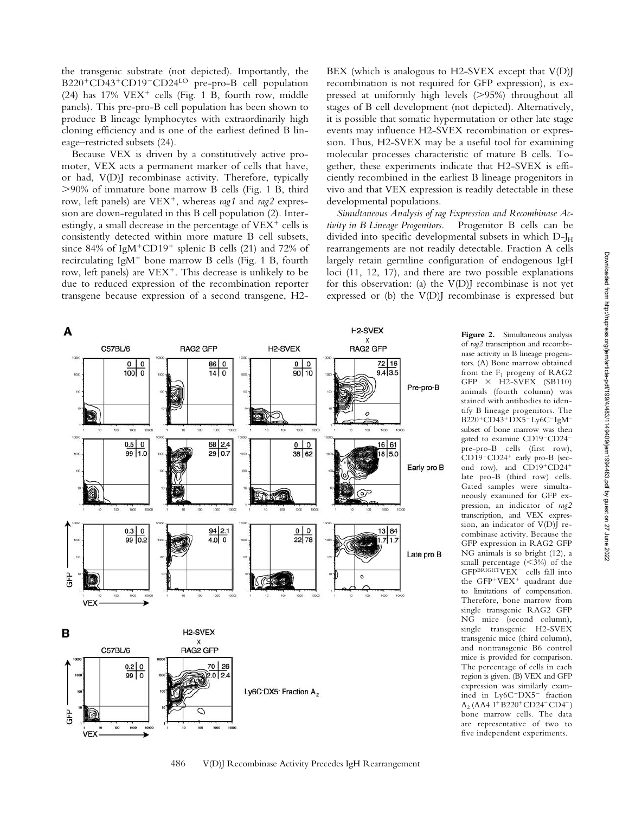the transgenic substrate (not depicted). Importantly, the B220<sup>+</sup>CD43<sup>+</sup>CD19<sup>-</sup>CD24<sup>LO</sup> pre-pro-B cell population (24) has  $17\%$  VEX<sup>+</sup> cells (Fig. 1 B, fourth row, middle panels). This pre-pro-B cell population has been shown to produce B lineage lymphocytes with extraordinarily high cloning efficiency and is one of the earliest defined B lineage–restricted subsets (24).

Because VEX is driven by a constitutively active promoter, VEX acts a permanent marker of cells that have, or had, V(D)J recombinase activity. Therefore, typically 90% of immature bone marrow B cells (Fig. 1 B, third row, left panels) are VEX<sup>+</sup>, whereas rag1 and rag2 expression are down-regulated in this B cell population (2). Interestingly, a small decrease in the percentage of  $VEX^+$  cells is consistently detected within more mature B cell subsets, since 84% of IgM<sup>+</sup>CD19<sup>+</sup> splenic B cells (21) and 72% of recirculating IgM<sup>+</sup> bone marrow B cells (Fig. 1 B, fourth row, left panels) are  $VEX^+$ . This decrease is unlikely to be due to reduced expression of the recombination reporter transgene because expression of a second transgene, H2BEX (which is analogous to H2-SVEX except that V(D)J recombination is not required for GFP expression), is expressed at uniformly high levels (>95%) throughout all stages of B cell development (not depicted). Alternatively, it is possible that somatic hypermutation or other late stage events may influence H2-SVEX recombination or expression. Thus, H2-SVEX may be a useful tool for examining molecular processes characteristic of mature B cells. Together, these experiments indicate that H2-SVEX is efficiently recombined in the earliest B lineage progenitors in vivo and that VEX expression is readily detectable in these developmental populations.

*Simultaneous Analysis of rag Expression and Recombinase Activity in B Lineage Progenitors.* Progenitor B cells can be divided into specific developmental subsets in which  $D-J_H$ rearrangements are not readily detectable. Fraction A cells largely retain germline configuration of endogenous IgH loci (11, 12, 17), and there are two possible explanations for this observation: (a) the  $V(D)$  recombinase is not yet expressed or (b) the V(D)J recombinase is expressed but



**Figure 2.** Simultaneous analysis of *rag2* transcription and recombinase activity in B lineage progenitors. (A) Bone marrow obtained from the  $F_1$  progeny of RAG2  $GFP \times H2-SVEX (SB110)$ animals (fourth column) was stained with antibodies to identify B lineage progenitors. The B220<sup>+</sup>CD43<sup>+</sup>DX5<sup>-</sup>Ly6C<sup>-</sup>IgM<sup>-</sup> subset of bone marrow was then gated to examine CD19-CD24pre-pro-B cells (first row), CD19<sup>-</sup>CD24<sup>+</sup> early pro-B (second row), and CD19+CD24+ late pro-B (third row) cells. Gated samples were simultaneously examined for GFP expression, an indicator of *rag2* transcription, and VEX expression, an indicator of V(D)J recombinase activity. Because the GFP expression in RAG2 GFP NG animals is so bright (12), a small percentage  $(<3\%)$  of the GFPBRIGHTVEX- cells fall into the GFP+VEX<sup>+</sup> quadrant due to limitations of compensation. Therefore, bone marrow from single transgenic RAG2 GFP NG mice (second column), single transgenic H2-SVEX transgenic mice (third column), and nontransgenic B6 control mice is provided for comparison. The percentage of cells in each region is given. (B) VEX and GFP expression was similarly examined in Ly6C-DX5- fraction  $A_2$  (AA4.1<sup>+</sup> B220<sup>+</sup> CD24<sup>-</sup> CD4<sup>-</sup>) bone marrow cells. The data are representative of two to five independent experiments.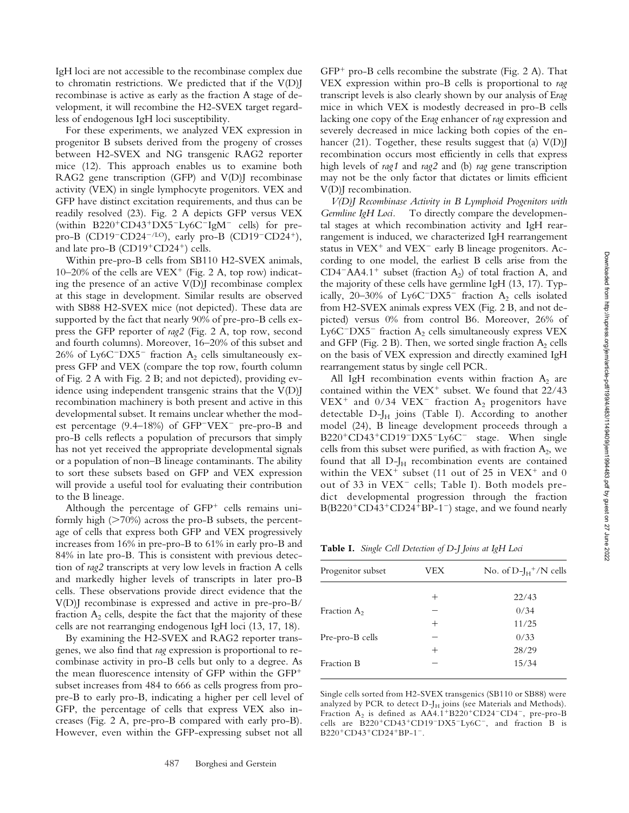IgH loci are not accessible to the recombinase complex due to chromatin restrictions. We predicted that if the  $V(D)$ recombinase is active as early as the fraction A stage of development, it will recombine the H2-SVEX target regardless of endogenous IgH loci susceptibility.

For these experiments, we analyzed VEX expression in progenitor B subsets derived from the progeny of crosses between H2-SVEX and NG transgenic RAG2 reporter mice (12). This approach enables us to examine both RAG2 gene transcription (GFP) and V(D)J recombinase activity (VEX) in single lymphocyte progenitors. VEX and GFP have distinct excitation requirements, and thus can be readily resolved (23). Fig. 2 A depicts GFP versus VEX (within B220<sup>+</sup>CD43<sup>+</sup>DX5<sup>-</sup>Ly6C<sup>-</sup>IgM<sup>-</sup> cells) for prepro-B (CD19<sup>-</sup>CD24<sup>-/LO</sup>), early pro-B (CD19<sup>-</sup>CD24<sup>+</sup>), and late pro-B  $(CD19+CD24^+)$  cells.

Within pre-pro-B cells from SB110 H2-SVEX animals, 10–20% of the cells are  $VEX^{+}$  (Fig. 2 A, top row) indicating the presence of an active  $V(D)$  recombinase complex at this stage in development. Similar results are observed with SB88 H2-SVEX mice (not depicted). These data are supported by the fact that nearly 90% of pre-pro-B cells express the GFP reporter of *rag2* (Fig. 2 A, top row, second and fourth columns). Moreover, 16–20% of this subset and 26% of Ly6C<sup>-</sup>DX5<sup>-</sup> fraction  $A_2$  cells simultaneously express GFP and VEX (compare the top row, fourth column of Fig. 2 A with Fig. 2 B; and not depicted), providing evidence using independent transgenic strains that the V(D)J recombination machinery is both present and active in this developmental subset. It remains unclear whether the modest percentage (9.4–18%) of GFP<sup>-</sup>VEX<sup>-</sup> pre-pro-B and pro-B cells reflects a population of precursors that simply has not yet received the appropriate developmental signals or a population of non–B lineage contaminants. The ability to sort these subsets based on GFP and VEX expression will provide a useful tool for evaluating their contribution to the B lineage.

Although the percentage of  $GFP<sup>+</sup>$  cells remains uniformly high  $($ >70%) across the pro-B subsets, the percentage of cells that express both GFP and VEX progressively increases from 16% in pre-pro-B to 61% in early pro-B and 84% in late pro-B. This is consistent with previous detection of *rag2* transcripts at very low levels in fraction A cells and markedly higher levels of transcripts in later pro-B cells. These observations provide direct evidence that the V(D)J recombinase is expressed and active in pre-pro-B/ fraction  $A_2$  cells, despite the fact that the majority of these cells are not rearranging endogenous IgH loci (13, 17, 18).

By examining the H2-SVEX and RAG2 reporter transgenes, we also find that *rag* expression is proportional to recombinase activity in pro-B cells but only to a degree. As the mean fluorescence intensity of GFP within the GFP subset increases from 484 to 666 as cells progress from propre-B to early pro-B, indicating a higher per cell level of GFP, the percentage of cells that express VEX also increases (Fig. 2 A, pre-pro-B compared with early pro-B). However, even within the GFP-expressing subset not all

 $GFP<sup>+</sup>$  pro-B cells recombine the substrate (Fig. 2 A). That VEX expression within pro-B cells is proportional to *rag* transcript levels is also clearly shown by our analysis of E*rag* mice in which VEX is modestly decreased in pro-B cells lacking one copy of the E*rag* enhancer of *rag* expression and severely decreased in mice lacking both copies of the enhancer (21). Together, these results suggest that (a)  $V(D)$ recombination occurs most efficiently in cells that express high levels of *rag1* and *rag2* and (b) *rag* gene transcription may not be the only factor that dictates or limits efficient V(D)J recombination.

*V(D)J Recombinase Activity in B Lymphoid Progenitors with Germline IgH Loci.* To directly compare the developmental stages at which recombination activity and IgH rearrangement is induced, we characterized IgH rearrangement status in VEX<sup>+</sup> and VEX<sup>-</sup> early B lineage progenitors. According to one model, the earliest B cells arise from the  $CD4$ <sup>-</sup>AA4.1<sup>+</sup> subset (fraction A<sub>2</sub>) of total fraction A, and the majority of these cells have germline IgH (13, 17). Typically, 20–30% of Ly6C<sup>-</sup>DX5<sup>-</sup> fraction  $A_2$  cells isolated from H2-SVEX animals express VEX (Fig. 2 B, and not depicted) versus 0% from control B6. Moreover, 26% of Ly6C<sup>-</sup>DX5<sup>-</sup> fraction A<sub>2</sub> cells simultaneously express VEX and GFP (Fig. 2 B). Then, we sorted single fraction  $A_2$  cells on the basis of VEX expression and directly examined IgH rearrangement status by single cell PCR.

All IgH recombination events within fraction  $A_2$  are contained within the VEX<sup>+</sup> subset. We found that  $22/43$  $VEX^+$  and 0/34  $VEX^-$  fraction  $A_2$  progenitors have detectable  $D-J_H$  joins (Table I). According to another model (24), B lineage development proceeds through a B220<sup>+</sup>CD43<sup>+</sup>CD19<sup>-</sup>DX5<sup>-</sup>Ly6C<sup>-</sup> stage. When single cells from this subset were purified, as with fraction  $A_2$ , we found that all  $D-J_H$  recombination events are contained within the VEX<sup>+</sup> subset (11 out of 25 in VEX<sup>+</sup> and 0 out of 33 in VEX<sup>-</sup> cells; Table I). Both models predict developmental progression through the fraction B(B220<sup>+</sup>CD43<sup>+</sup>CD24<sup>+</sup>BP-1<sup>-</sup>) stage, and we found nearly

**Table I.** *Single Cell Detection of D-J Joins at IgH Loci*

| VEX  | No. of $D-I_H^+$ /N cells |
|------|---------------------------|
| $^+$ | 22/43                     |
|      | 0/34                      |
| $^+$ | 11/25                     |
|      | 0/33                      |
| $^+$ | 28/29                     |
|      | 15/34                     |
|      |                           |

Single cells sorted from H2-SVEX transgenics (SB110 or SB88) were analyzed by PCR to detect  $D-J_H$  joins (see Materials and Methods). Fraction  $A_2$  is defined as  $AA4.1^+B220^+CD24^-CD4^-$ , pre-pro-B cells are B220<sup>+</sup>CD43<sup>+</sup>CD19<sup>-</sup>DX5<sup>-</sup>Ly6C<sup>-</sup>, and fraction B is  $B220^+CD43^+CD24^+BP-1^-$ .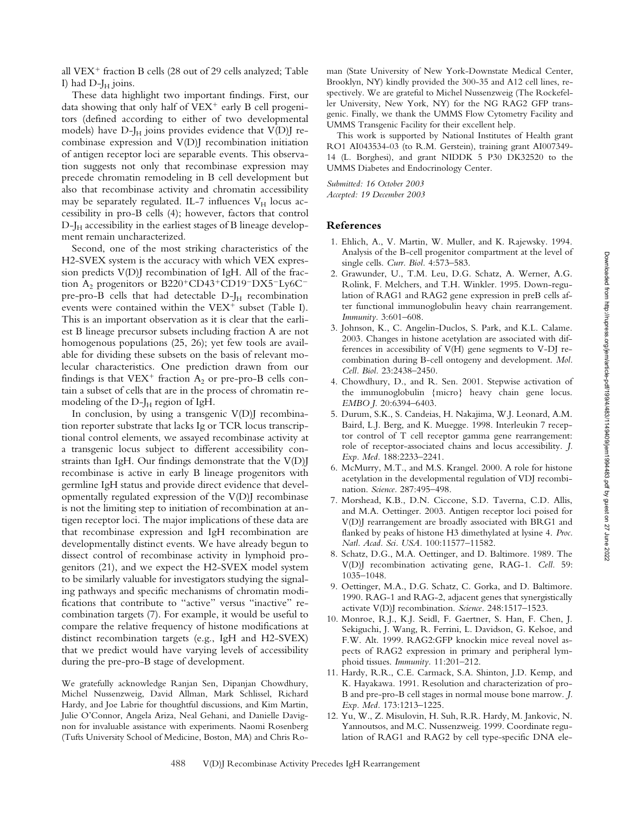all VEX<sup>+</sup> fraction B cells (28 out of 29 cells analyzed; Table I) had  $D-I_H$  joins.

These data highlight two important findings. First, our data showing that only half of VEX<sup>+</sup> early B cell progenitors (defined according to either of two developmental models) have  $D-J_H$  joins provides evidence that  $V(D)J$  recombinase expression and V(D)J recombination initiation of antigen receptor loci are separable events. This observation suggests not only that recombinase expression may precede chromatin remodeling in B cell development but also that recombinase activity and chromatin accessibility may be separately regulated. IL-7 influences  $V_H$  locus accessibility in pro-B cells (4); however, factors that control  $D-J<sub>H</sub>$  accessibility in the earliest stages of B lineage development remain uncharacterized.

Second, one of the most striking characteristics of the H2-SVEX system is the accuracy with which VEX expression predicts  $V(D)$  recombination of IgH. All of the fraction  $A_2$  progenitors or B220<sup>+</sup>CD43<sup>+</sup>CD19<sup>-</sup>DX5<sup>-</sup>Ly6C<sup>-</sup> pre-pro-B cells that had detectable  $D-J_H$  recombination events were contained within the  $VEX^{+}$  subset (Table I). This is an important observation as it is clear that the earliest B lineage precursor subsets including fraction A are not homogenous populations (25, 26); yet few tools are available for dividing these subsets on the basis of relevant molecular characteristics. One prediction drawn from our findings is that  $VEX^+$  fraction  $A_2$  or pre-pro-B cells contain a subset of cells that are in the process of chromatin remodeling of the  $D-J_H$  region of IgH.

In conclusion, by using a transgenic  $V(D)$  recombination reporter substrate that lacks Ig or TCR locus transcriptional control elements, we assayed recombinase activity at a transgenic locus subject to different accessibility constraints than IgH. Our findings demonstrate that the V(D)J recombinase is active in early B lineage progenitors with germline IgH status and provide direct evidence that developmentally regulated expression of the V(D)J recombinase is not the limiting step to initiation of recombination at antigen receptor loci. The major implications of these data are that recombinase expression and IgH recombination are developmentally distinct events. We have already begun to dissect control of recombinase activity in lymphoid progenitors (21), and we expect the H2-SVEX model system to be similarly valuable for investigators studying the signaling pathways and specific mechanisms of chromatin modifications that contribute to "active" versus "inactive" recombination targets (7). For example, it would be useful to compare the relative frequency of histone modifications at distinct recombination targets (e.g., IgH and H2-SVEX) that we predict would have varying levels of accessibility during the pre-pro-B stage of development.

We gratefully acknowledge Ranjan Sen, Dipanjan Chowdhury, Michel Nussenzweig, David Allman, Mark Schlissel, Richard Hardy, and Joe Labrie for thoughtful discussions, and Kim Martin, Julie O'Connor, Angela Ariza, Neal Gehani, and Danielle Davignon for invaluable assistance with experiments. Naomi Rosenberg (Tufts University School of Medicine, Boston, MA) and Chris Roman (State University of New York-Downstate Medical Center, Brooklyn, NY) kindly provided the 300-35 and A12 cell lines, respectively. We are grateful to Michel Nussenzweig (The Rockefeller University, New York, NY) for the NG RAG2 GFP transgenic. Finally, we thank the UMMS Flow Cytometry Facility and UMMS Transgenic Facility for their excellent help.

This work is supported by National Institutes of Health grant RO1 AI043534-03 (to R.M. Gerstein), training grant AI007349- 14 (L. Borghesi), and grant NIDDK 5 P30 DK32520 to the UMMS Diabetes and Endocrinology Center.

*Submitted: 16 October 2003 Accepted: 19 December 2003*

### **References**

- 1. Ehlich, A., V. Martin, W. Muller, and K. Rajewsky. 1994. Analysis of the B-cell progenitor compartment at the level of single cells. *Curr. Biol.* 4:573–583.
- 2. Grawunder, U., T.M. Leu, D.G. Schatz, A. Werner, A.G. Rolink, F. Melchers, and T.H. Winkler. 1995. Down-regulation of RAG1 and RAG2 gene expression in preB cells after functional immunoglobulin heavy chain rearrangement. *Immunity.* 3:601–608.
- 3. Johnson, K., C. Angelin-Duclos, S. Park, and K.L. Calame. 2003. Changes in histone acetylation are associated with differences in accessibility of V(H) gene segments to V-DJ recombination during B-cell ontogeny and development. *Mol. Cell. Biol.* 23:2438–2450.
- 4. Chowdhury, D., and R. Sen. 2001. Stepwise activation of the immunoglobulin {micro} heavy chain gene locus. *EMBO J.* 20:6394–6403.
- 5. Durum, S.K., S. Candeias, H. Nakajima, W.J. Leonard, A.M. Baird, L.J. Berg, and K. Muegge. 1998. Interleukin 7 receptor control of T cell receptor gamma gene rearrangement: role of receptor-associated chains and locus accessibility. *J. Exp. Med.* 188:2233–2241.
- 6. McMurry, M.T., and M.S. Krangel. 2000. A role for histone acetylation in the developmental regulation of VDJ recombination. *Science.* 287:495–498.
- 7. Morshead, K.B., D.N. Ciccone, S.D. Taverna, C.D. Allis, and M.A. Oettinger. 2003. Antigen receptor loci poised for V(D)J rearrangement are broadly associated with BRG1 and flanked by peaks of histone H3 dimethylated at lysine 4. *Proc. Natl. Acad. Sci. USA.* 100:11577–11582.
- 8. Schatz, D.G., M.A. Oettinger, and D. Baltimore. 1989. The V(D)J recombination activating gene, RAG-1. *Cell.* 59: 1035–1048.
- 9. Oettinger, M.A., D.G. Schatz, C. Gorka, and D. Baltimore. 1990. RAG-1 and RAG-2, adjacent genes that synergistically activate V(D)J recombination. *Science.* 248:1517–1523.
- 10. Monroe, R.J., K.J. Seidl, F. Gaertner, S. Han, F. Chen, J. Sekiguchi, J. Wang, R. Ferrini, L. Davidson, G. Kelsoe, and F.W. Alt. 1999. RAG2:GFP knockin mice reveal novel aspects of RAG2 expression in primary and peripheral lymphoid tissues. *Immunity.* 11:201–212.
- 11. Hardy, R.R., C.E. Carmack, S.A. Shinton, J.D. Kemp, and K. Hayakawa. 1991. Resolution and characterization of pro-B and pre-pro-B cell stages in normal mouse bone marrow. *J. Exp. Med.* 173:1213–1225.
- 12. Yu, W., Z. Misulovin, H. Suh, R.R. Hardy, M. Jankovic, N. Yannoutsos, and M.C. Nussenzweig. 1999. Coordinate regulation of RAG1 and RAG2 by cell type-specific DNA ele-